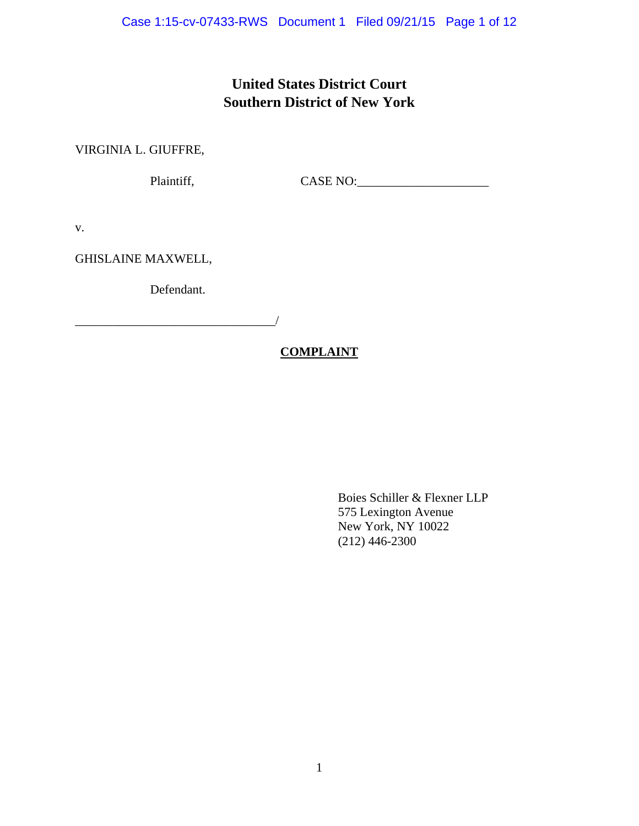# **United States District Court Southern District of New York**

VIRGINIA L. GIUFFRE,

Plaintiff, CASE NO:\_\_\_\_\_\_\_\_\_\_\_\_\_\_\_\_\_\_\_\_\_

v.

GHISLAINE MAXWELL,

Defendant.

 $\mathcal{L}_\text{max}$  and  $\mathcal{L}_\text{max}$  and  $\mathcal{L}_\text{max}$  and  $\mathcal{L}_\text{max}$ 

## **COMPLAINT**

 Boies Schiller & Flexner LLP 575 Lexington Avenue New York, NY 10022 (212) 446-2300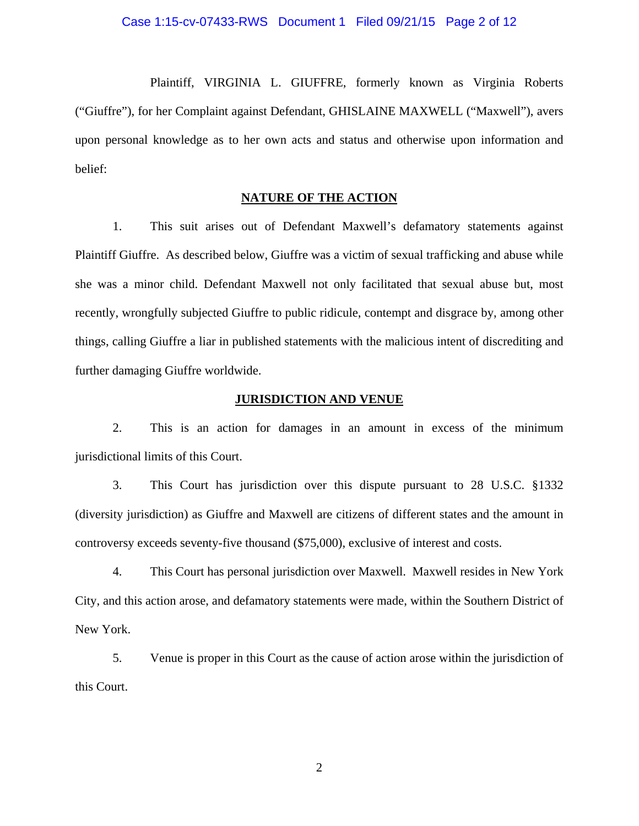#### Case 1:15-cv-07433-RWS Document 1 Filed 09/21/15 Page 2 of 12

 Plaintiff, VIRGINIA L. GIUFFRE, formerly known as Virginia Roberts ("Giuffre"), for her Complaint against Defendant, GHISLAINE MAXWELL ("Maxwell"), avers upon personal knowledge as to her own acts and status and otherwise upon information and belief:

### **NATURE OF THE ACTION**

1. This suit arises out of Defendant Maxwell's defamatory statements against Plaintiff Giuffre. As described below, Giuffre was a victim of sexual trafficking and abuse while she was a minor child. Defendant Maxwell not only facilitated that sexual abuse but, most recently, wrongfully subjected Giuffre to public ridicule, contempt and disgrace by, among other things, calling Giuffre a liar in published statements with the malicious intent of discrediting and further damaging Giuffre worldwide.

#### **JURISDICTION AND VENUE**

2. This is an action for damages in an amount in excess of the minimum jurisdictional limits of this Court.

3. This Court has jurisdiction over this dispute pursuant to 28 U.S.C. §1332 (diversity jurisdiction) as Giuffre and Maxwell are citizens of different states and the amount in controversy exceeds seventy-five thousand (\$75,000), exclusive of interest and costs.

4. This Court has personal jurisdiction over Maxwell. Maxwell resides in New York City, and this action arose, and defamatory statements were made, within the Southern District of New York.

5. Venue is proper in this Court as the cause of action arose within the jurisdiction of this Court.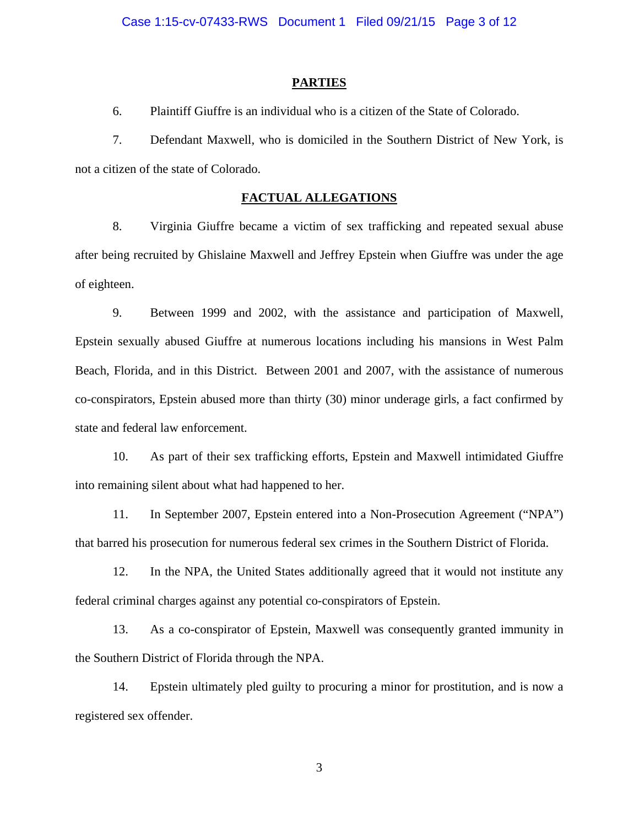#### **PARTIES**

6. Plaintiff Giuffre is an individual who is a citizen of the State of Colorado.

7. Defendant Maxwell, who is domiciled in the Southern District of New York, is not a citizen of the state of Colorado.

## **FACTUAL ALLEGATIONS**

8. Virginia Giuffre became a victim of sex trafficking and repeated sexual abuse after being recruited by Ghislaine Maxwell and Jeffrey Epstein when Giuffre was under the age of eighteen.

9. Between 1999 and 2002, with the assistance and participation of Maxwell, Epstein sexually abused Giuffre at numerous locations including his mansions in West Palm Beach, Florida, and in this District. Between 2001 and 2007, with the assistance of numerous co-conspirators, Epstein abused more than thirty (30) minor underage girls, a fact confirmed by state and federal law enforcement.

10. As part of their sex trafficking efforts, Epstein and Maxwell intimidated Giuffre into remaining silent about what had happened to her.

11. In September 2007, Epstein entered into a Non-Prosecution Agreement ("NPA") that barred his prosecution for numerous federal sex crimes in the Southern District of Florida.

12. In the NPA, the United States additionally agreed that it would not institute any federal criminal charges against any potential co-conspirators of Epstein.

13. As a co-conspirator of Epstein, Maxwell was consequently granted immunity in the Southern District of Florida through the NPA.

14. Epstein ultimately pled guilty to procuring a minor for prostitution, and is now a registered sex offender.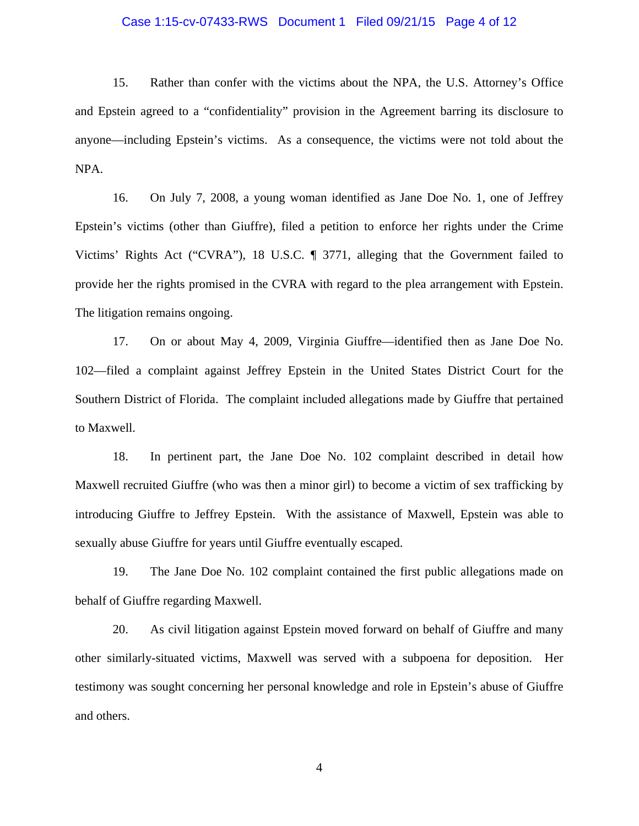#### Case 1:15-cv-07433-RWS Document 1 Filed 09/21/15 Page 4 of 12

15. Rather than confer with the victims about the NPA, the U.S. Attorney's Office and Epstein agreed to a "confidentiality" provision in the Agreement barring its disclosure to anyone—including Epstein's victims. As a consequence, the victims were not told about the NPA.

16. On July 7, 2008, a young woman identified as Jane Doe No. 1, one of Jeffrey Epstein's victims (other than Giuffre), filed a petition to enforce her rights under the Crime Victims' Rights Act ("CVRA"), 18 U.S.C. ¶ 3771, alleging that the Government failed to provide her the rights promised in the CVRA with regard to the plea arrangement with Epstein. The litigation remains ongoing.

17. On or about May 4, 2009, Virginia Giuffre—identified then as Jane Doe No. 102—filed a complaint against Jeffrey Epstein in the United States District Court for the Southern District of Florida. The complaint included allegations made by Giuffre that pertained to Maxwell.

18. In pertinent part, the Jane Doe No. 102 complaint described in detail how Maxwell recruited Giuffre (who was then a minor girl) to become a victim of sex trafficking by introducing Giuffre to Jeffrey Epstein. With the assistance of Maxwell, Epstein was able to sexually abuse Giuffre for years until Giuffre eventually escaped.

19. The Jane Doe No. 102 complaint contained the first public allegations made on behalf of Giuffre regarding Maxwell.

20. As civil litigation against Epstein moved forward on behalf of Giuffre and many other similarly-situated victims, Maxwell was served with a subpoena for deposition. Her testimony was sought concerning her personal knowledge and role in Epstein's abuse of Giuffre and others.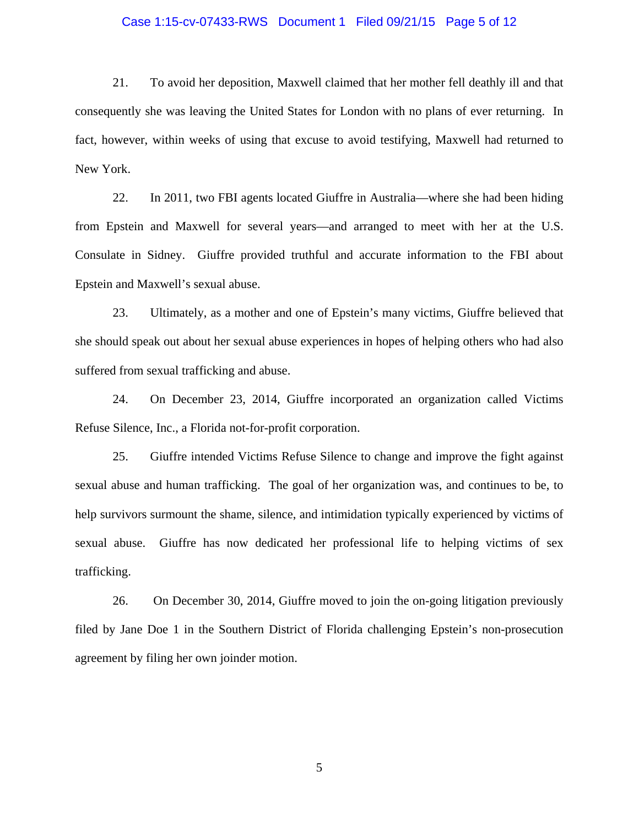#### Case 1:15-cv-07433-RWS Document 1 Filed 09/21/15 Page 5 of 12

21. To avoid her deposition, Maxwell claimed that her mother fell deathly ill and that consequently she was leaving the United States for London with no plans of ever returning. In fact, however, within weeks of using that excuse to avoid testifying, Maxwell had returned to New York.

22. In 2011, two FBI agents located Giuffre in Australia—where she had been hiding from Epstein and Maxwell for several years—and arranged to meet with her at the U.S. Consulate in Sidney. Giuffre provided truthful and accurate information to the FBI about Epstein and Maxwell's sexual abuse.

23. Ultimately, as a mother and one of Epstein's many victims, Giuffre believed that she should speak out about her sexual abuse experiences in hopes of helping others who had also suffered from sexual trafficking and abuse.

24. On December 23, 2014, Giuffre incorporated an organization called Victims Refuse Silence, Inc., a Florida not-for-profit corporation.

25. Giuffre intended Victims Refuse Silence to change and improve the fight against sexual abuse and human trafficking. The goal of her organization was, and continues to be, to help survivors surmount the shame, silence, and intimidation typically experienced by victims of sexual abuse. Giuffre has now dedicated her professional life to helping victims of sex trafficking.

26. On December 30, 2014, Giuffre moved to join the on-going litigation previously filed by Jane Doe 1 in the Southern District of Florida challenging Epstein's non-prosecution agreement by filing her own joinder motion.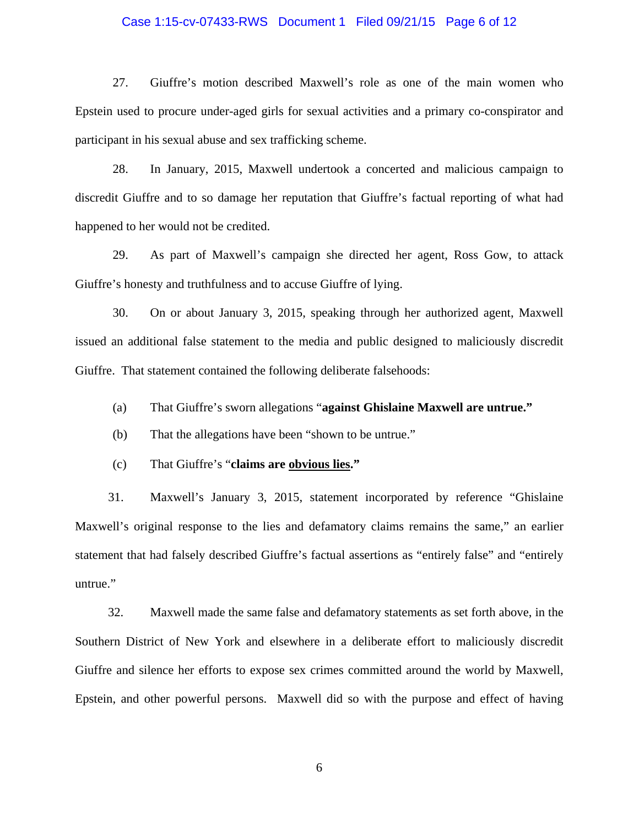#### Case 1:15-cv-07433-RWS Document 1 Filed 09/21/15 Page 6 of 12

27. Giuffre's motion described Maxwell's role as one of the main women who Epstein used to procure under-aged girls for sexual activities and a primary co-conspirator and participant in his sexual abuse and sex trafficking scheme.

28. In January, 2015, Maxwell undertook a concerted and malicious campaign to discredit Giuffre and to so damage her reputation that Giuffre's factual reporting of what had happened to her would not be credited.

29. As part of Maxwell's campaign she directed her agent, Ross Gow, to attack Giuffre's honesty and truthfulness and to accuse Giuffre of lying.

30. On or about January 3, 2015, speaking through her authorized agent, Maxwell issued an additional false statement to the media and public designed to maliciously discredit Giuffre. That statement contained the following deliberate falsehoods:

- (a) That Giuffre's sworn allegations "**against Ghislaine Maxwell are untrue."**
- (b) That the allegations have been "shown to be untrue."
- (c) That Giuffre's "**claims are obvious lies."**

31. Maxwell's January 3, 2015, statement incorporated by reference "Ghislaine Maxwell's original response to the lies and defamatory claims remains the same," an earlier statement that had falsely described Giuffre's factual assertions as "entirely false" and "entirely untrue."

32. Maxwell made the same false and defamatory statements as set forth above, in the Southern District of New York and elsewhere in a deliberate effort to maliciously discredit Giuffre and silence her efforts to expose sex crimes committed around the world by Maxwell, Epstein, and other powerful persons. Maxwell did so with the purpose and effect of having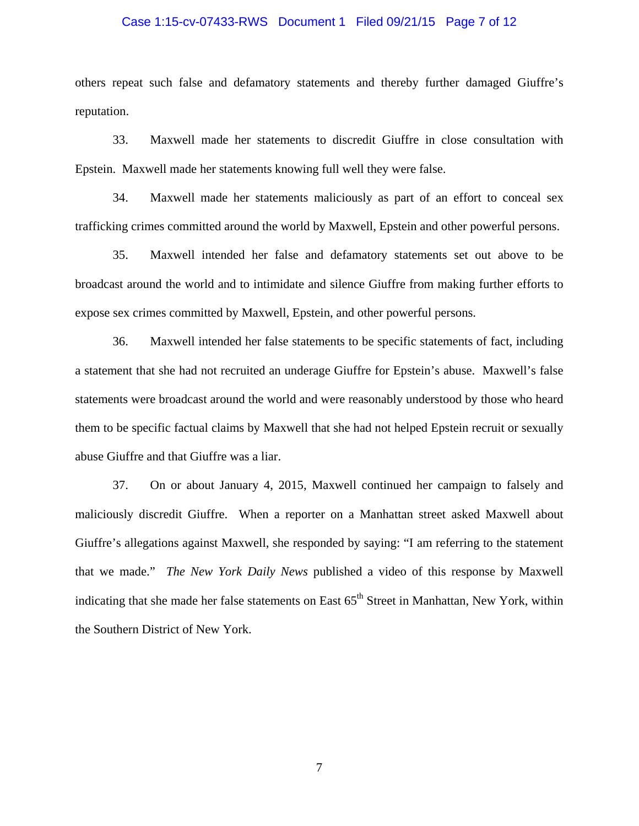#### Case 1:15-cv-07433-RWS Document 1 Filed 09/21/15 Page 7 of 12

others repeat such false and defamatory statements and thereby further damaged Giuffre's reputation.

33. Maxwell made her statements to discredit Giuffre in close consultation with Epstein. Maxwell made her statements knowing full well they were false.

34. Maxwell made her statements maliciously as part of an effort to conceal sex trafficking crimes committed around the world by Maxwell, Epstein and other powerful persons.

35. Maxwell intended her false and defamatory statements set out above to be broadcast around the world and to intimidate and silence Giuffre from making further efforts to expose sex crimes committed by Maxwell, Epstein, and other powerful persons.

36. Maxwell intended her false statements to be specific statements of fact, including a statement that she had not recruited an underage Giuffre for Epstein's abuse. Maxwell's false statements were broadcast around the world and were reasonably understood by those who heard them to be specific factual claims by Maxwell that she had not helped Epstein recruit or sexually abuse Giuffre and that Giuffre was a liar.

37. On or about January 4, 2015, Maxwell continued her campaign to falsely and maliciously discredit Giuffre. When a reporter on a Manhattan street asked Maxwell about Giuffre's allegations against Maxwell, she responded by saying: "I am referring to the statement that we made." *The New York Daily News* published a video of this response by Maxwell indicating that she made her false statements on East  $65<sup>th</sup>$  Street in Manhattan, New York, within the Southern District of New York.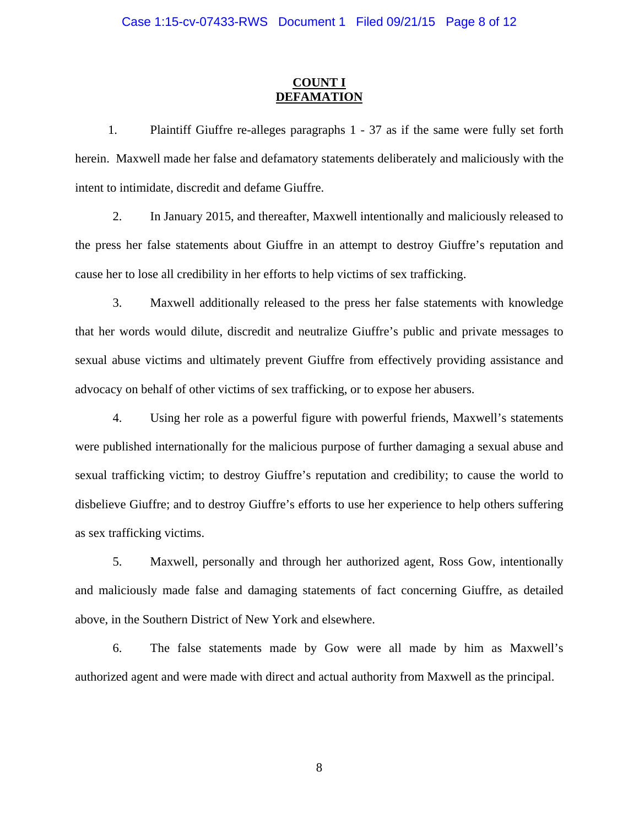### **COUNT I DEFAMATION**

1. Plaintiff Giuffre re-alleges paragraphs 1 - 37 as if the same were fully set forth herein.Maxwell made her false and defamatory statements deliberately and maliciously with the intent to intimidate, discredit and defame Giuffre.

2. In January 2015, and thereafter, Maxwell intentionally and maliciously released to the press her false statements about Giuffre in an attempt to destroy Giuffre's reputation and cause her to lose all credibility in her efforts to help victims of sex trafficking.

3. Maxwell additionally released to the press her false statements with knowledge that her words would dilute, discredit and neutralize Giuffre's public and private messages to sexual abuse victims and ultimately prevent Giuffre from effectively providing assistance and advocacy on behalf of other victims of sex trafficking, or to expose her abusers.

4. Using her role as a powerful figure with powerful friends, Maxwell's statements were published internationally for the malicious purpose of further damaging a sexual abuse and sexual trafficking victim; to destroy Giuffre's reputation and credibility; to cause the world to disbelieve Giuffre; and to destroy Giuffre's efforts to use her experience to help others suffering as sex trafficking victims.

5. Maxwell, personally and through her authorized agent, Ross Gow, intentionally and maliciously made false and damaging statements of fact concerning Giuffre, as detailed above, in the Southern District of New York and elsewhere.

6. The false statements made by Gow were all made by him as Maxwell's authorized agent and were made with direct and actual authority from Maxwell as the principal.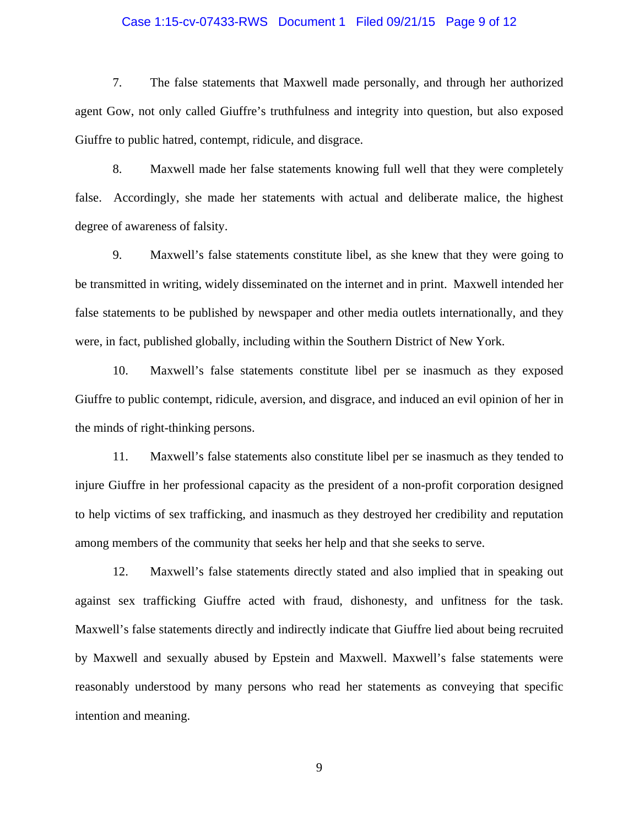#### Case 1:15-cv-07433-RWS Document 1 Filed 09/21/15 Page 9 of 12

7. The false statements that Maxwell made personally, and through her authorized agent Gow, not only called Giuffre's truthfulness and integrity into question, but also exposed Giuffre to public hatred, contempt, ridicule, and disgrace.

8. Maxwell made her false statements knowing full well that they were completely false. Accordingly, she made her statements with actual and deliberate malice, the highest degree of awareness of falsity.

9. Maxwell's false statements constitute libel, as she knew that they were going to be transmitted in writing, widely disseminated on the internet and in print. Maxwell intended her false statements to be published by newspaper and other media outlets internationally, and they were, in fact, published globally, including within the Southern District of New York.

10. Maxwell's false statements constitute libel per se inasmuch as they exposed Giuffre to public contempt, ridicule, aversion, and disgrace, and induced an evil opinion of her in the minds of right-thinking persons.

11. Maxwell's false statements also constitute libel per se inasmuch as they tended to injure Giuffre in her professional capacity as the president of a non-profit corporation designed to help victims of sex trafficking, and inasmuch as they destroyed her credibility and reputation among members of the community that seeks her help and that she seeks to serve.

12. Maxwell's false statements directly stated and also implied that in speaking out against sex trafficking Giuffre acted with fraud, dishonesty, and unfitness for the task. Maxwell's false statements directly and indirectly indicate that Giuffre lied about being recruited by Maxwell and sexually abused by Epstein and Maxwell. Maxwell's false statements were reasonably understood by many persons who read her statements as conveying that specific intention and meaning.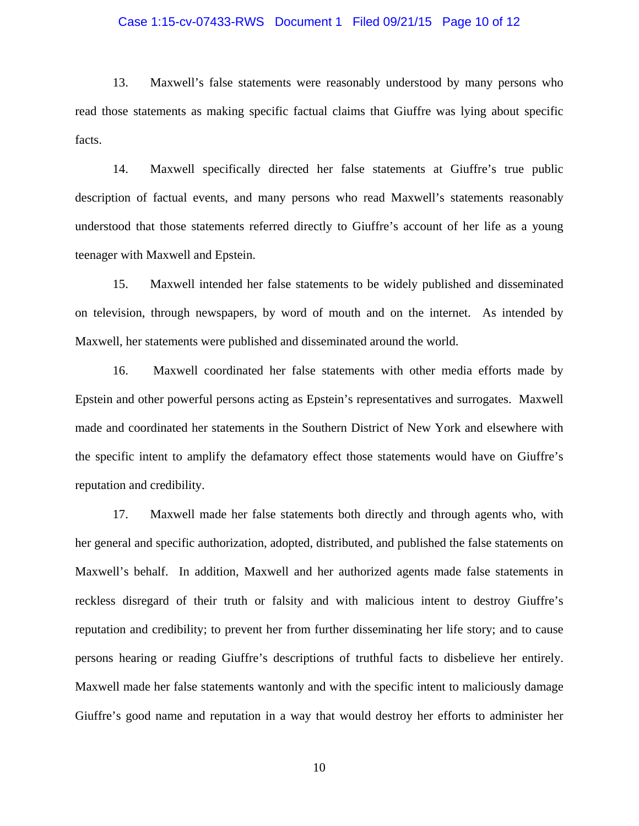#### Case 1:15-cv-07433-RWS Document 1 Filed 09/21/15 Page 10 of 12

13. Maxwell's false statements were reasonably understood by many persons who read those statements as making specific factual claims that Giuffre was lying about specific facts.

14. Maxwell specifically directed her false statements at Giuffre's true public description of factual events, and many persons who read Maxwell's statements reasonably understood that those statements referred directly to Giuffre's account of her life as a young teenager with Maxwell and Epstein.

15. Maxwell intended her false statements to be widely published and disseminated on television, through newspapers, by word of mouth and on the internet. As intended by Maxwell, her statements were published and disseminated around the world.

16. Maxwell coordinated her false statements with other media efforts made by Epstein and other powerful persons acting as Epstein's representatives and surrogates. Maxwell made and coordinated her statements in the Southern District of New York and elsewhere with the specific intent to amplify the defamatory effect those statements would have on Giuffre's reputation and credibility.

17. Maxwell made her false statements both directly and through agents who, with her general and specific authorization, adopted, distributed, and published the false statements on Maxwell's behalf. In addition, Maxwell and her authorized agents made false statements in reckless disregard of their truth or falsity and with malicious intent to destroy Giuffre's reputation and credibility; to prevent her from further disseminating her life story; and to cause persons hearing or reading Giuffre's descriptions of truthful facts to disbelieve her entirely. Maxwell made her false statements wantonly and with the specific intent to maliciously damage Giuffre's good name and reputation in a way that would destroy her efforts to administer her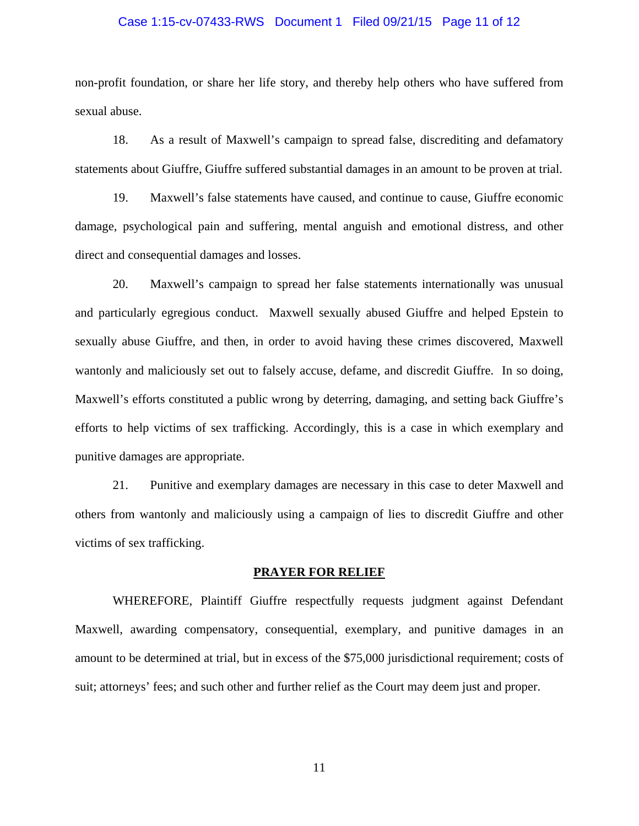#### Case 1:15-cv-07433-RWS Document 1 Filed 09/21/15 Page 11 of 12

non-profit foundation, or share her life story, and thereby help others who have suffered from sexual abuse.

18. As a result of Maxwell's campaign to spread false, discrediting and defamatory statements about Giuffre, Giuffre suffered substantial damages in an amount to be proven at trial.

19. Maxwell's false statements have caused, and continue to cause, Giuffre economic damage, psychological pain and suffering, mental anguish and emotional distress, and other direct and consequential damages and losses.

20. Maxwell's campaign to spread her false statements internationally was unusual and particularly egregious conduct. Maxwell sexually abused Giuffre and helped Epstein to sexually abuse Giuffre, and then, in order to avoid having these crimes discovered, Maxwell wantonly and maliciously set out to falsely accuse, defame, and discredit Giuffre. In so doing, Maxwell's efforts constituted a public wrong by deterring, damaging, and setting back Giuffre's efforts to help victims of sex trafficking. Accordingly, this is a case in which exemplary and punitive damages are appropriate.

21. Punitive and exemplary damages are necessary in this case to deter Maxwell and others from wantonly and maliciously using a campaign of lies to discredit Giuffre and other victims of sex trafficking.

#### **PRAYER FOR RELIEF**

WHEREFORE, Plaintiff Giuffre respectfully requests judgment against Defendant Maxwell, awarding compensatory, consequential, exemplary, and punitive damages in an amount to be determined at trial, but in excess of the \$75,000 jurisdictional requirement; costs of suit; attorneys' fees; and such other and further relief as the Court may deem just and proper.